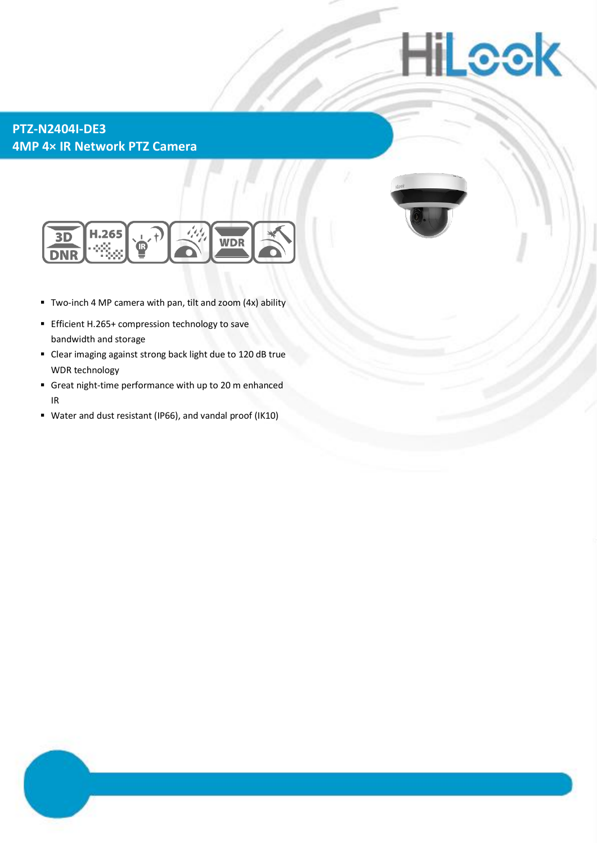# **iiLook**

### **PTZ-N2404I-DE3 4MP 4× IR Network PTZ Camera**



- Two-inch 4 MP camera with pan, tilt and zoom (4x) ability
- **Efficient H.265+ compression technology to save** bandwidth and storage
- Clear imaging against strong back light due to 120 dB true WDR technology
- Great night-time performance with up to 20 m enhanced IR
- Water and dust resistant (IP66), and vandal proof (IK10)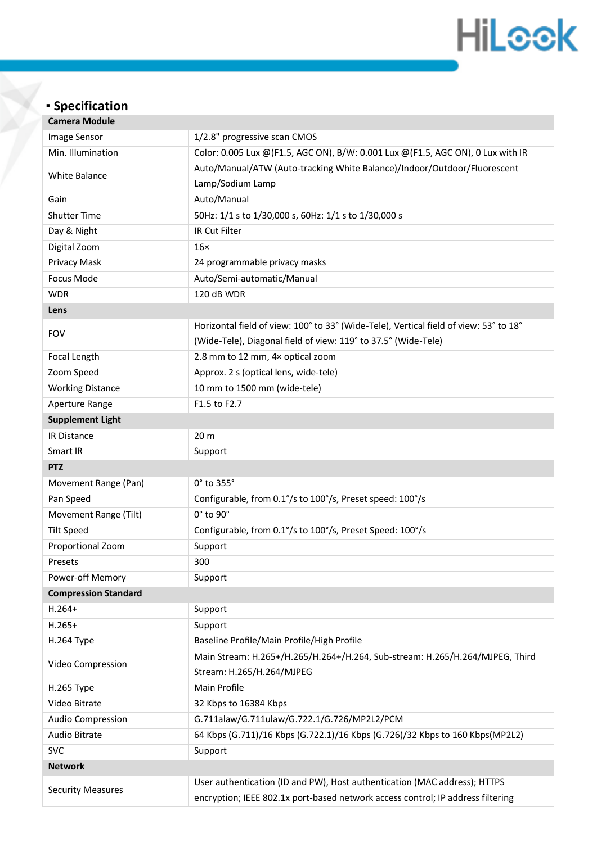## **HiLook**

### **Specification**

| <b>Camera Module</b>        |                                                                                                                                                              |  |
|-----------------------------|--------------------------------------------------------------------------------------------------------------------------------------------------------------|--|
| Image Sensor                | 1/2.8" progressive scan CMOS                                                                                                                                 |  |
| Min. Illumination           | Color: 0.005 Lux @(F1.5, AGC ON), B/W: 0.001 Lux @(F1.5, AGC ON), 0 Lux with IR                                                                              |  |
| <b>White Balance</b>        | Auto/Manual/ATW (Auto-tracking White Balance)/Indoor/Outdoor/Fluorescent                                                                                     |  |
|                             | Lamp/Sodium Lamp                                                                                                                                             |  |
| Gain                        | Auto/Manual                                                                                                                                                  |  |
| <b>Shutter Time</b>         | 50Hz: 1/1 s to 1/30,000 s, 60Hz: 1/1 s to 1/30,000 s                                                                                                         |  |
| Day & Night                 | IR Cut Filter                                                                                                                                                |  |
| Digital Zoom                | $16\times$                                                                                                                                                   |  |
| Privacy Mask                | 24 programmable privacy masks                                                                                                                                |  |
| Focus Mode                  | Auto/Semi-automatic/Manual                                                                                                                                   |  |
| <b>WDR</b>                  | 120 dB WDR                                                                                                                                                   |  |
| Lens                        |                                                                                                                                                              |  |
| <b>FOV</b>                  | Horizontal field of view: 100° to 33° (Wide-Tele), Vertical field of view: 53° to 18°                                                                        |  |
|                             | (Wide-Tele), Diagonal field of view: 119° to 37.5° (Wide-Tele)                                                                                               |  |
| Focal Length                | 2.8 mm to 12 mm, 4x optical zoom                                                                                                                             |  |
| Zoom Speed                  | Approx. 2 s (optical lens, wide-tele)                                                                                                                        |  |
| <b>Working Distance</b>     | 10 mm to 1500 mm (wide-tele)                                                                                                                                 |  |
| Aperture Range              | F1.5 to F2.7                                                                                                                                                 |  |
| <b>Supplement Light</b>     |                                                                                                                                                              |  |
| IR Distance                 | 20 <sub>m</sub>                                                                                                                                              |  |
| Smart IR                    | Support                                                                                                                                                      |  |
| <b>PTZ</b>                  |                                                                                                                                                              |  |
| Movement Range (Pan)        | 0° to 355°                                                                                                                                                   |  |
| Pan Speed                   | Configurable, from 0.1°/s to 100°/s, Preset speed: 100°/s                                                                                                    |  |
| Movement Range (Tilt)       | 0° to 90°                                                                                                                                                    |  |
| <b>Tilt Speed</b>           | Configurable, from 0.1°/s to 100°/s, Preset Speed: 100°/s                                                                                                    |  |
| Proportional Zoom           | Support                                                                                                                                                      |  |
| Presets                     | 300                                                                                                                                                          |  |
| Power-off Memory            | Support                                                                                                                                                      |  |
| <b>Compression Standard</b> |                                                                                                                                                              |  |
| $H.264+$                    | Support                                                                                                                                                      |  |
| $H.265+$                    | Support                                                                                                                                                      |  |
| H.264 Type                  | Baseline Profile/Main Profile/High Profile                                                                                                                   |  |
| Video Compression           | Main Stream: H.265+/H.265/H.264+/H.264, Sub-stream: H.265/H.264/MJPEG, Third<br>Stream: H.265/H.264/MJPEG                                                    |  |
| H.265 Type                  | Main Profile                                                                                                                                                 |  |
| Video Bitrate               | 32 Kbps to 16384 Kbps                                                                                                                                        |  |
| <b>Audio Compression</b>    | G.711alaw/G.711ulaw/G.722.1/G.726/MP2L2/PCM                                                                                                                  |  |
| Audio Bitrate               | 64 Kbps (G.711)/16 Kbps (G.722.1)/16 Kbps (G.726)/32 Kbps to 160 Kbps(MP2L2)                                                                                 |  |
| <b>SVC</b>                  | Support                                                                                                                                                      |  |
| <b>Network</b>              |                                                                                                                                                              |  |
| <b>Security Measures</b>    | User authentication (ID and PW), Host authentication (MAC address); HTTPS<br>encryption; IEEE 802.1x port-based network access control; IP address filtering |  |
|                             |                                                                                                                                                              |  |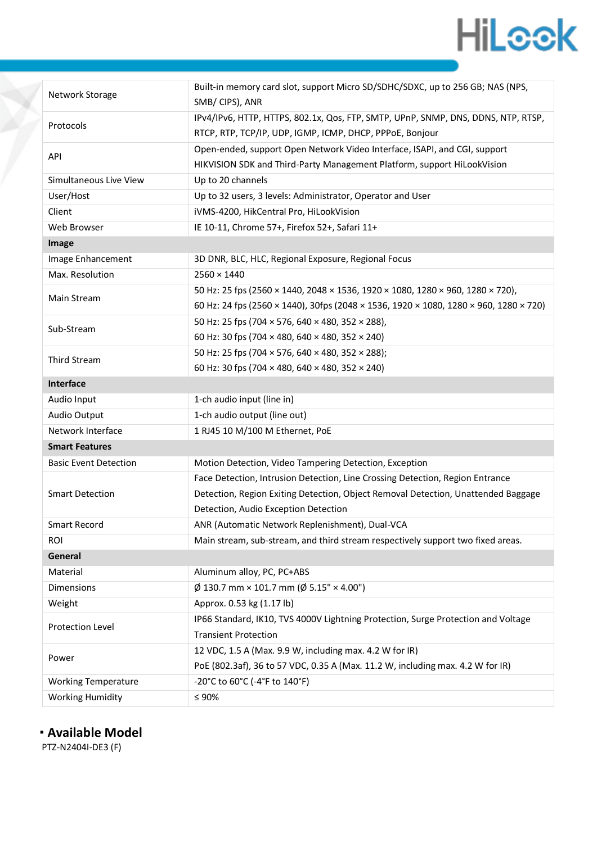### **HiLeek**

| Network Storage              | Built-in memory card slot, support Micro SD/SDHC/SDXC, up to 256 GB; NAS (NPS,        |  |
|------------------------------|---------------------------------------------------------------------------------------|--|
|                              | SMB/CIPS), ANR                                                                        |  |
| Protocols                    | IPv4/IPv6, HTTP, HTTPS, 802.1x, Qos, FTP, SMTP, UPnP, SNMP, DNS, DDNS, NTP, RTSP,     |  |
|                              | RTCP, RTP, TCP/IP, UDP, IGMP, ICMP, DHCP, PPPoE, Bonjour                              |  |
| API                          | Open-ended, support Open Network Video Interface, ISAPI, and CGI, support             |  |
|                              | HIKVISION SDK and Third-Party Management Platform, support HiLookVision               |  |
| Simultaneous Live View       | Up to 20 channels                                                                     |  |
| User/Host                    | Up to 32 users, 3 levels: Administrator, Operator and User                            |  |
| Client                       | iVMS-4200, HikCentral Pro, HiLookVision                                               |  |
| Web Browser                  | IE 10-11, Chrome 57+, Firefox 52+, Safari 11+                                         |  |
| Image                        |                                                                                       |  |
| Image Enhancement            | 3D DNR, BLC, HLC, Regional Exposure, Regional Focus                                   |  |
| Max. Resolution              | $2560 \times 1440$                                                                    |  |
| Main Stream                  | 50 Hz: 25 fps (2560 × 1440, 2048 × 1536, 1920 × 1080, 1280 × 960, 1280 × 720),        |  |
|                              | 60 Hz: 24 fps (2560 × 1440), 30fps (2048 × 1536, 1920 × 1080, 1280 × 960, 1280 × 720) |  |
| Sub-Stream                   | 50 Hz: 25 fps (704 × 576, 640 × 480, 352 × 288),                                      |  |
|                              | 60 Hz: 30 fps (704 × 480, 640 × 480, 352 × 240)                                       |  |
| <b>Third Stream</b>          | 50 Hz: 25 fps (704 × 576, 640 × 480, 352 × 288);                                      |  |
|                              | 60 Hz: 30 fps (704 $\times$ 480, 640 $\times$ 480, 352 $\times$ 240)                  |  |
| Interface                    |                                                                                       |  |
| Audio Input                  | 1-ch audio input (line in)                                                            |  |
| Audio Output                 | 1-ch audio output (line out)                                                          |  |
| Network Interface            | 1 RJ45 10 M/100 M Ethernet, PoE                                                       |  |
| <b>Smart Features</b>        |                                                                                       |  |
| <b>Basic Event Detection</b> | Motion Detection, Video Tampering Detection, Exception                                |  |
| <b>Smart Detection</b>       | Face Detection, Intrusion Detection, Line Crossing Detection, Region Entrance         |  |
|                              | Detection, Region Exiting Detection, Object Removal Detection, Unattended Baggage     |  |
|                              | Detection, Audio Exception Detection                                                  |  |
| <b>Smart Record</b>          | ANR (Automatic Network Replenishment), Dual-VCA                                       |  |
| ROI                          | Main stream, sub-stream, and third stream respectively support two fixed areas.       |  |
| General                      |                                                                                       |  |
| Material                     | Aluminum alloy, PC, PC+ABS                                                            |  |
| Dimensions                   | $\varnothing$ 130.7 mm × 101.7 mm ( $\varnothing$ 5.15" × 4.00")                      |  |
| Weight                       | Approx. 0.53 kg (1.17 lb)                                                             |  |
| Protection Level             | IP66 Standard, IK10, TVS 4000V Lightning Protection, Surge Protection and Voltage     |  |
|                              | <b>Transient Protection</b>                                                           |  |
| Power                        | 12 VDC, 1.5 A (Max. 9.9 W, including max. 4.2 W for IR)                               |  |
|                              | PoE (802.3af), 36 to 57 VDC, 0.35 A (Max. 11.2 W, including max. 4.2 W for IR)        |  |
| <b>Working Temperature</b>   | -20°C to 60°C (-4°F to 140°F)                                                         |  |
| <b>Working Humidity</b>      | $\leq 90\%$                                                                           |  |

**Available Model**

PTZ-N2404I-DE3 (F)

Ž